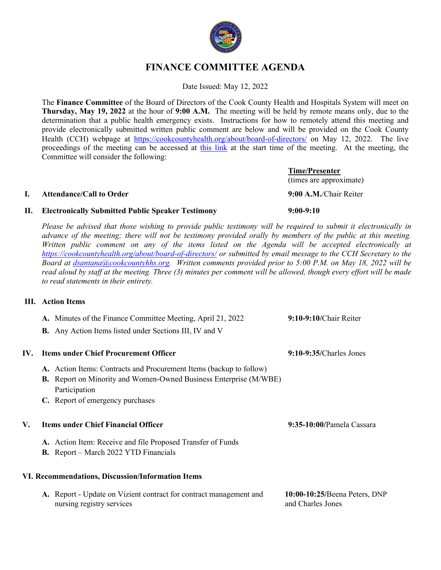

# **FINANCE COMMITTEE AGENDA**

Date Issued: May 12, 2022

The **Finance Committee** of the Board of Directors of the Cook County Health and Hospitals System will meet on **Thursday, May 19, 2022** at the hour of **9:00 A.M.** The meeting will be held by remote means only, due to the determination that a public health emergency exists. Instructions for how to remotely attend this meeting and provide electronically submitted written public comment are below and will be provided on the Cook County Health (CCH) webpage at https://cookcountyhealth.org/about/board-of-directors/ on May 12, 2022. The live proceedings of the meeting can be accessed at this link at the start time of the meeting. At the meeting, the Committee will consider the following:

### **I. Attendance/Call to Order 9:00 A.M.**/Chair Reiter

## **II. Electronically Submitted Public Speaker Testimony 9:00-9:10**

*Please be advised that those wishing to provide public testimony will be required to submit it electronically in advance of the meeting; there will not be testimony provided orally by members of the public at this meeting. Written public comment on any of the items listed on the Agenda will be accepted electronically at https://cookcountyhealth.org/about/board-of-directors/ or submitted by email message to the CCH Secretary to the Board at dsantana@cookcountyhhs.org. Written comments provided prior to 5:00 P.M. on May 18, 2022 will be read aloud by staff at the meeting. Three (3) minutes per comment will be allowed, though every effort will be made to read statements in their entirety.*

### **III. Action Items**

|     | A. Minutes of the Finance Committee Meeting, April 21, 2022                                     | 9:10-9:10/Chair Reiter                             |
|-----|-------------------------------------------------------------------------------------------------|----------------------------------------------------|
|     | <b>B.</b> Any Action Items listed under Sections III, IV and V                                  |                                                    |
| IV. | <b>Items under Chief Procurement Officer</b>                                                    | $9:10-9:35/Charles Jones$                          |
|     | A. Action Items: Contracts and Procurement Items (backup to follow)                             |                                                    |
|     | <b>B.</b> Report on Minority and Women-Owned Business Enterprise (M/WBE)<br>Participation       |                                                    |
|     | C. Report of emergency purchases                                                                |                                                    |
| V.  | <b>Items under Chief Financial Officer</b>                                                      | 9:35-10:00/Pamela Cassara                          |
|     | A. Action Item: Receive and file Proposed Transfer of Funds                                     |                                                    |
|     | <b>B.</b> Report – March 2022 YTD Financials                                                    |                                                    |
|     | VI. Recommendations, Discussion/Information Items                                               |                                                    |
|     | A. Report - Update on Vizient contract for contract management and<br>nursing registry services | 10:00-10:25/Beena Peters, DNP<br>and Charles Jones |

**Time/Presenter** (times are approximate)